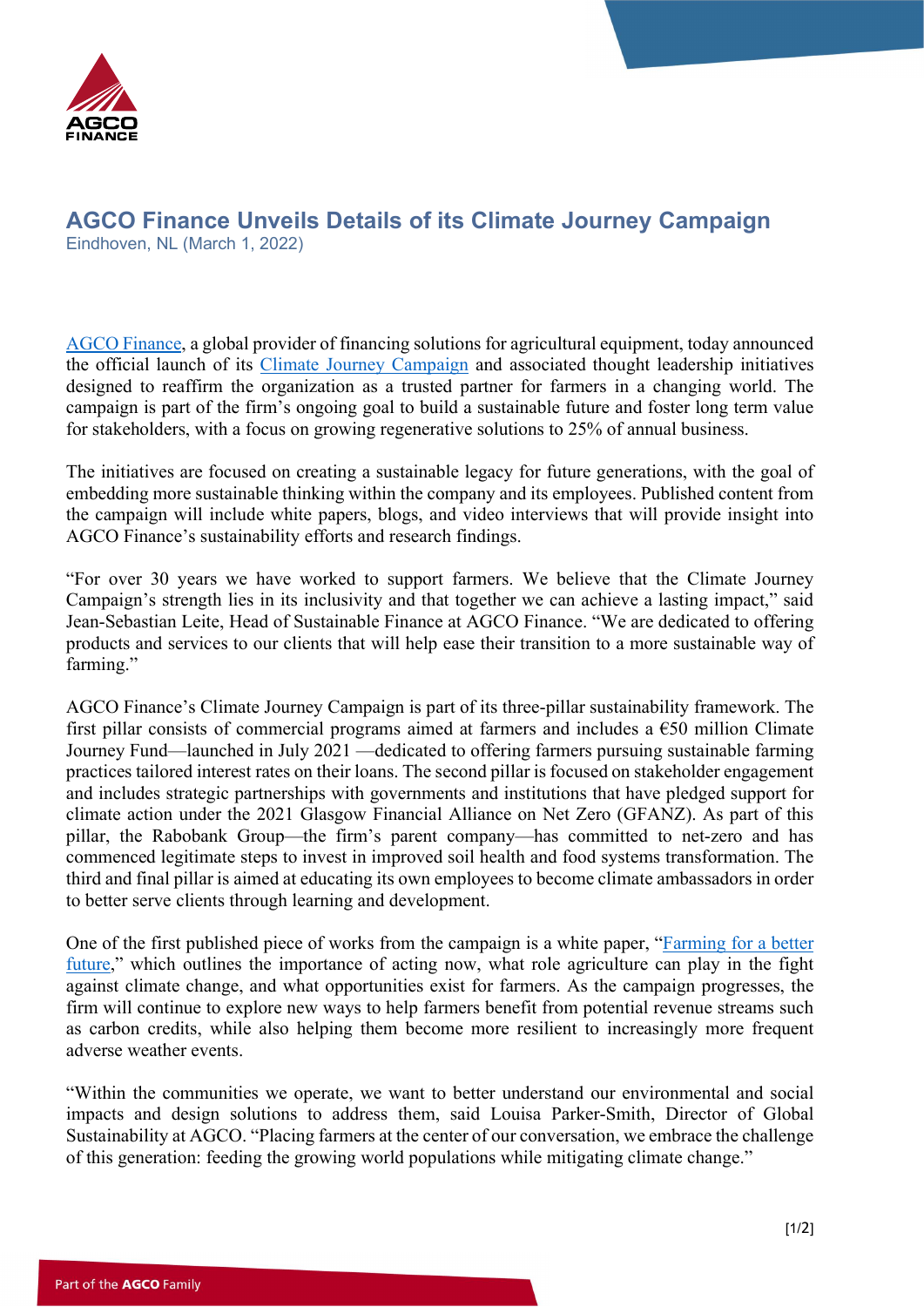

## AGCO Finance Unveils Details of its Climate Journey Campaign

Eindhoven, NL (March 1, 2022)

[AGCO Finance,](https://www.agcofinance.com/) a global provider of financing solutions for agricultural equipment, today announced the official launch of its [Climate Journey Campaign](https://www.agcofinance.com/en/climate-journey) and associated thought leadership initiatives designed to reaffirm the organization as a trusted partner for farmers in a changing world. The campaign is part of the firm's ongoing goal to build a sustainable future and foster long term value for stakeholders, with a focus on growing regenerative solutions to 25% of annual business.

The initiatives are focused on creating a sustainable legacy for future generations, with the goal of embedding more sustainable thinking within the company and its employees. Published content from the campaign will include white papers, blogs, and video interviews that will provide insight into AGCO Finance's sustainability efforts and research findings.

"For over 30 years we have worked to support farmers. We believe that the Climate Journey Campaign's strength lies in its inclusivity and that together we can achieve a lasting impact," said Jean-Sebastian Leite, Head of Sustainable Finance at AGCO Finance. "We are dedicated to offering products and services to our clients that will help ease their transition to a more sustainable way of farming."

AGCO Finance's Climate Journey Campaign is part of its three-pillar sustainability framework. The first pillar consists of commercial programs aimed at farmers and includes a  $\epsilon$ 50 million Climate Journey Fund—launched in July 2021 —dedicated to offering farmers pursuing sustainable farming practices tailored interest rates on their loans. The second pillar is focused on stakeholder engagement and includes strategic partnerships with governments and institutions that have pledged support for climate action under the 2021 Glasgow Financial Alliance on Net Zero (GFANZ). As part of this pillar, the Rabobank Group—the firm's parent company—has committed to net-zero and has commenced legitimate steps to invest in improved soil health and food systems transformation. The third and final pillar is aimed at educating its own employees to become climate ambassadors in order to better serve clients through learning and development.

One of the first published piece of works from the campaign is a white paper, "[Farming for a better](https://www.agcofinance.com/-/media/Agco-Finance/en/Climate-Journey/files/Farming-for-a-better-future.pdf)  [future,](https://www.agcofinance.com/-/media/Agco-Finance/en/Climate-Journey/files/Farming-for-a-better-future.pdf)" which outlines the importance of acting now, what role agriculture can play in the fight against climate change, and what opportunities exist for farmers. As the campaign progresses, the firm will continue to explore new ways to help farmers benefit from potential revenue streams such as carbon credits, while also helping them become more resilient to increasingly more frequent adverse weather events.

"Within the communities we operate, we want to better understand our environmental and social impacts and design solutions to address them, said Louisa Parker-Smith, Director of Global Sustainability at AGCO. "Placing farmers at the center of our conversation, we embrace the challenge of this generation: feeding the growing world populations while mitigating climate change."